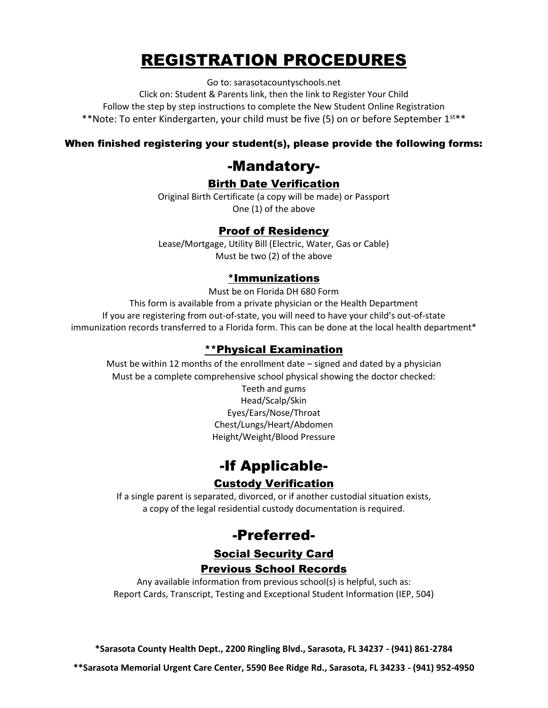## REGISTRATION PROCEDURES

Go to: sarasotacountyschools.net

Click on: Student & Parents link, then the link to Register Your Child Follow the step by step instructions to complete the New Student Online Registration \*\*Note: To enter Kindergarten, your child must be five (5) on or before September 1st\*\*

#### When finished registering your student(s), please provide the following forms:

### -Mandatory-

### Birth Date Verification

Original Birth Certificate (a copy will be made) or Passport One (1) of the above

### Proof of Residency

Lease/Mortgage, Utility Bill (Electric, Water, Gas or Cable) Must be two (2) of the above

#### \*Immunizations

Must be on Florida DH 680 Form

This form is available from a private physician or the Health Department If you are registering from out-of-state, you will need to have your child's out-of-state immunization records transferred to a Florida form. This can be done at the local health department\*

#### \*\*Physical Examination

Must be within 12 months of the enrollment date – signed and dated by a physician Must be a complete comprehensive school physical showing the doctor checked:

Teeth and gums Head/Scalp/Skin Eyes/Ears/Nose/Throat Chest/Lungs/Heart/Abdomen Height/Weight/Blood Pressure

### -If Applicable-

### Custody Verification

If a single parent is separated, divorced, or if another custodial situation exists, a copy of the legal residential custody documentation is required.

### -Preferred-

#### Social Security Card

#### Previous School Records

Any available information from previous school(s) is helpful, such as: Report Cards, Transcript, Testing and Exceptional Student Information (IEP, 504)

**\*Sarasota County Health Dept., 2200 Ringling Blvd., Sarasota, FL 34237 - (941) 861-2784**

**\*\*Sarasota Memorial Urgent Care Center, 5590 Bee Ridge Rd., Sarasota, FL 34233 - (941) 952-4950**